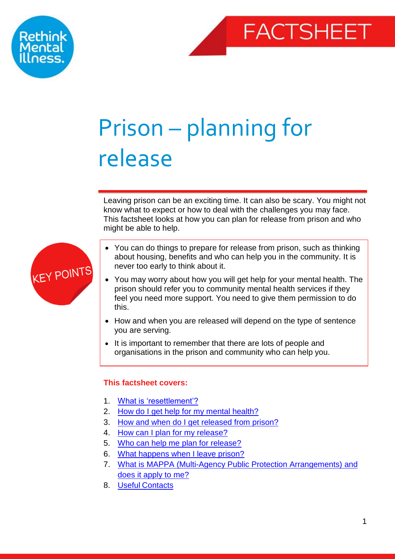



# Prison – planning for release

Leaving prison can be an exciting time. It can also be scary. You might not know what to expect or how to deal with the challenges you may face. This factsheet looks at how you can plan for release from prison and who might be able to help.



- You can do things to prepare for release from prison, such as thinking about housing, benefits and who can help you in the community. It is never too early to think about it.
- You may worry about how you will get help for your mental health. The prison should refer you to community mental health services if they feel you need more support. You need to give them permission to do this.
- How and when you are released will depend on the type of sentence you are serving.
- It is important to remember that there are lots of people and organisations in the prison and community who can help you.

# <span id="page-0-0"></span>**This factsheet covers:**

- 1. [What is 'resettlement'?](#page-1-0)
- 2. [How do I get help for my mental health?](#page-1-1)
- 3. [How and when do I get released from prison?](#page-3-0)
- 4. [How can I plan for my release?](#page-4-0)
- 5. [Who can help me plan for release?](#page-6-0)
- 6. [What happens when I leave prison?](#page-7-0)
- 7. [What is MAPPA \(Multi-Agency Public Protection Arrangements\) and](#page-9-0)  [does it apply to me?](#page-9-0)
- 8. Useful [Contacts](#page-10-0)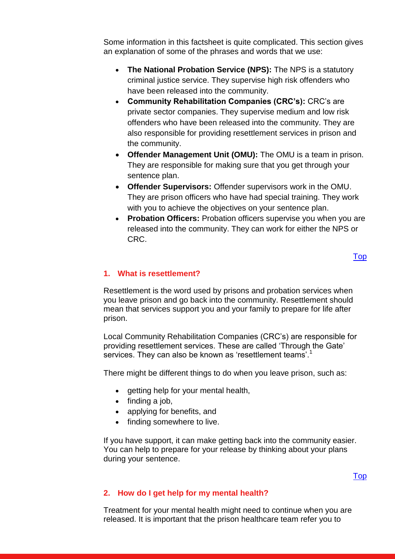Some information in this factsheet is quite complicated. This section gives an explanation of some of the phrases and words that we use:

- **The National Probation Service (NPS):** The NPS is a statutory criminal justice service. They supervise high risk offenders who have been released into the community.
- **Community Rehabilitation Companies (CRC's):** CRC's are private sector companies. They supervise medium and low risk offenders who have been released into the community. They are also responsible for providing resettlement services in prison and the community.
- **Offender Management Unit (OMU):** The OMU is a team in prison. They are responsible for making sure that you get through your sentence plan.
- **Offender Supervisors:** Offender supervisors work in the OMU. They are prison officers who have had special training. They work with you to achieve the objectives on your sentence plan.
- **Probation Officers:** Probation officers supervise you when you are released into the community. They can work for either the NPS or CRC.

# <span id="page-1-0"></span>**1. What is resettlement?**

Resettlement is the word used by prisons and probation services when you leave prison and go back into the community. Resettlement should mean that services support you and your family to prepare for life after prison.

Local Community Rehabilitation Companies (CRC's) are responsible for providing resettlement services. These are called 'Through the Gate' services. They can also be known as 'resettlement teams'.<sup>1</sup>

There might be different things to do when you leave prison, such as:

- getting help for your mental health,
- $\bullet$  finding a job,
- applying for benefits, and
- finding somewhere to live.

If you have support, it can make getting back into the community easier. You can help to prepare for your release by thinking about your plans during your sentence.

### [Top](#page-0-0)

#### <span id="page-1-1"></span>**2. How do I get help for my mental health?**

Treatment for your mental health might need to continue when you are released. It is important that the prison healthcare team refer you to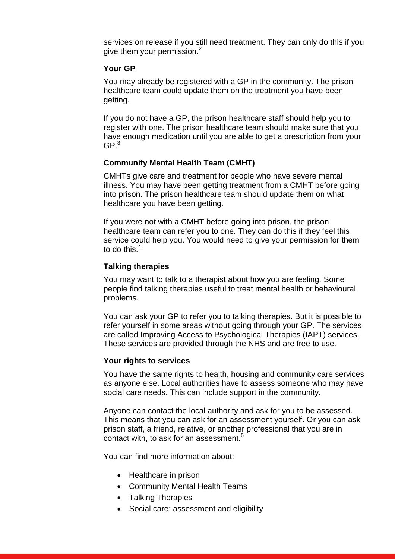services on release if you still need treatment. They can only do this if you give them your permission.<sup>2</sup>

# **Your GP**

You may already be registered with a GP in the community. The prison healthcare team could update them on the treatment you have been getting.

If you do not have a GP, the prison healthcare staff should help you to register with one. The prison healthcare team should make sure that you have enough medication until you are able to get a prescription from your  $GP<sup>3</sup>$ 

## **Community Mental Health Team (CMHT)**

CMHTs give care and treatment for people who have severe mental illness. You may have been getting treatment from a CMHT before going into prison. The prison healthcare team should update them on what healthcare you have been getting.

If you were not with a CMHT before going into prison, the prison healthcare team can refer you to one. They can do this if they feel this service could help you. You would need to give your permission for them to do this.<sup>4</sup>

## **Talking therapies**

You may want to talk to a therapist about how you are feeling. Some people find talking therapies useful to treat mental health or behavioural problems.

You can ask your GP to refer you to talking therapies. But it is possible to refer yourself in some areas without going through your GP. The services are called Improving Access to Psychological Therapies (IAPT) services. These services are provided through the NHS and are free to use.

#### **Your rights to services**

You have the same rights to health, housing and community care services as anyone else. Local authorities have to assess someone who may have social care needs. This can include support in the community.

Anyone can contact the local authority and ask for you to be assessed. This means that you can ask for an assessment yourself. Or you can ask prison staff, a friend, relative, or another professional that you are in contact with, to ask for an assessment.<sup>5</sup>

You can find more information about:

- Healthcare in prison
- Community Mental Health Teams
- Talking Therapies
- Social care: assessment and eligibility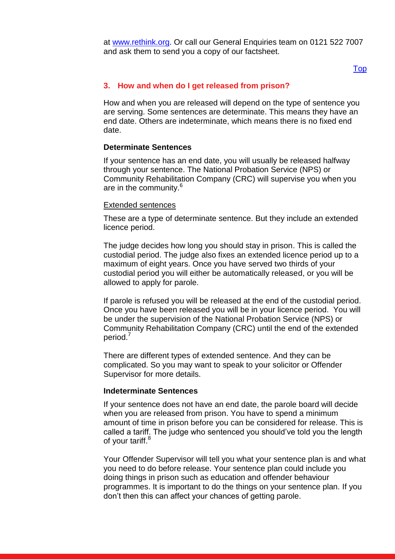at [www.rethink.org.](http://www.rethink.org/) Or call our General Enquiries team on 0121 522 7007 and ask them to send you a copy of our factsheet.

#### [Top](#page-0-0)

#### <span id="page-3-0"></span>**3. How and when do I get released from prison?**

How and when you are released will depend on the type of sentence you are serving. Some sentences are determinate. This means they have an end date. Others are indeterminate, which means there is no fixed end date.

#### **Determinate Sentences**

If your sentence has an end date, you will usually be released halfway through your sentence. The National Probation Service (NPS) or Community Rehabilitation Company (CRC) will supervise you when you are in the community.<sup>6</sup>

#### Extended sentences

These are a type of determinate sentence. But they include an extended licence period.

The judge decides how long you should stay in prison. This is called the custodial period. The judge also fixes an extended licence period up to a maximum of eight years. Once you have served two thirds of your custodial period you will either be automatically released, or you will be allowed to apply for parole.

If parole is refused you will be released at the end of the custodial period. Once you have been released you will be in your licence period. You will be under the supervision of the National Probation Service (NPS) or Community Rehabilitation Company (CRC) until the end of the extended period.<sup>7</sup>

There are different types of extended sentence. And they can be complicated. So you may want to speak to your solicitor or Offender Supervisor for more details.

#### **Indeterminate Sentences**

If your sentence does not have an end date, the parole board will decide when you are released from prison. You have to spend a minimum amount of time in prison before you can be considered for release. This is called a tariff. The judge who sentenced you should've told you the length of your tariff.<sup>8</sup>

Your Offender Supervisor will tell you what your sentence plan is and what you need to do before release. Your sentence plan could include you doing things in prison such as education and offender behaviour programmes. It is important to do the things on your sentence plan. If you don't then this can affect your chances of getting parole.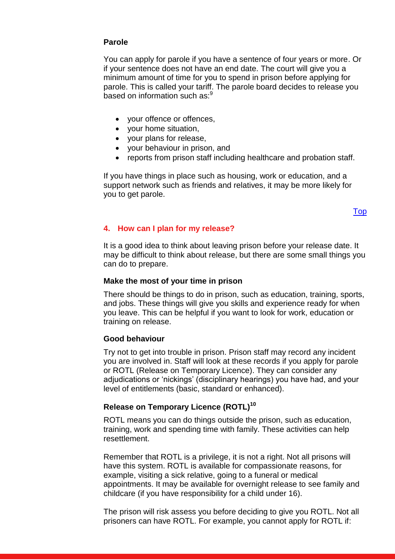#### **Parole**

You can apply for parole if you have a sentence of four years or more. Or if your sentence does not have an end date. The court will give you a minimum amount of time for you to spend in prison before applying for parole. This is called your tariff. The parole board decides to release you based on information such as:<sup>9</sup>

- your offence or offences,
- your home situation,
- your plans for release,
- your behaviour in prison, and
- reports from prison staff including healthcare and probation staff.

If you have things in place such as housing, work or education, and a support network such as friends and relatives, it may be more likely for you to get parole.

[Top](#page-0-0)

#### <span id="page-4-0"></span>**4. How can I plan for my release?**

It is a good idea to think about leaving prison before your release date. It may be difficult to think about release, but there are some small things you can do to prepare.

#### **Make the most of your time in prison**

There should be things to do in prison, such as education, training, sports, and jobs. These things will give you skills and experience ready for when you leave. This can be helpful if you want to look for work, education or training on release.

#### **Good behaviour**

Try not to get into trouble in prison. Prison staff may record any incident you are involved in. Staff will look at these records if you apply for parole or ROTL (Release on Temporary Licence). They can consider any adjudications or 'nickings' (disciplinary hearings) you have had, and your level of entitlements (basic, standard or enhanced).

# **Release on Temporary Licence (ROTL)<sup>10</sup>**

ROTL means you can do things outside the prison, such as education, training, work and spending time with family. These activities can help resettlement.

Remember that ROTL is a privilege, it is not a right. Not all prisons will have this system. ROTL is available for compassionate reasons, for example, visiting a sick relative, going to a funeral or medical appointments. It may be available for overnight release to see family and childcare (if you have responsibility for a child under 16).

The prison will risk assess you before deciding to give you ROTL. Not all prisoners can have ROTL. For example, you cannot apply for ROTL if: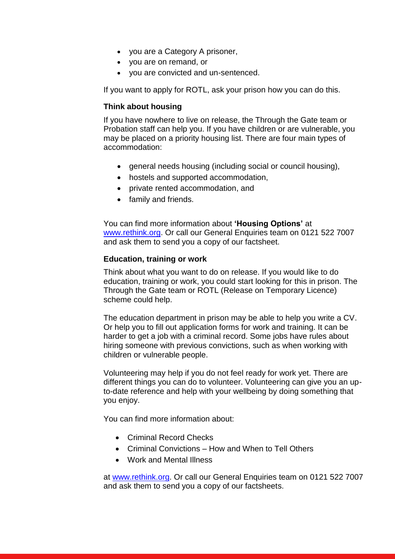- you are a Category A prisoner,
- you are on remand, or
- you are convicted and un-sentenced.

If you want to apply for ROTL, ask your prison how you can do this.

# **Think about housing**

If you have nowhere to live on release, the Through the Gate team or Probation staff can help you. If you have children or are vulnerable, you may be placed on a priority housing list. There are four main types of accommodation:

- general needs housing (including social or council housing),
- hostels and supported accommodation,
- private rented accommodation, and
- family and friends.

You can find more information about **'Housing Options'** at [www.rethink.org.](http://www.rethink.org/) Or call our General Enquiries team on 0121 522 7007 and ask them to send you a copy of our factsheet.

## **Education, training or work**

Think about what you want to do on release. If you would like to do education, training or work, you could start looking for this in prison. The Through the Gate team or ROTL (Release on Temporary Licence) scheme could help.

The education department in prison may be able to help you write a CV. Or help you to fill out application forms for work and training. It can be harder to get a job with a criminal record. Some jobs have rules about hiring someone with previous convictions, such as when working with children or vulnerable people.

Volunteering may help if you do not feel ready for work yet. There are different things you can do to volunteer. Volunteering can give you an upto-date reference and help with your wellbeing by doing something that you enjoy.

You can find more information about:

- Criminal Record Checks
- Criminal Convictions How and When to Tell Others
- Work and Mental Illness

at [www.rethink.org.](http://www.rethink.org/) Or call our General Enquiries team on 0121 522 7007 and ask them to send you a copy of our factsheets.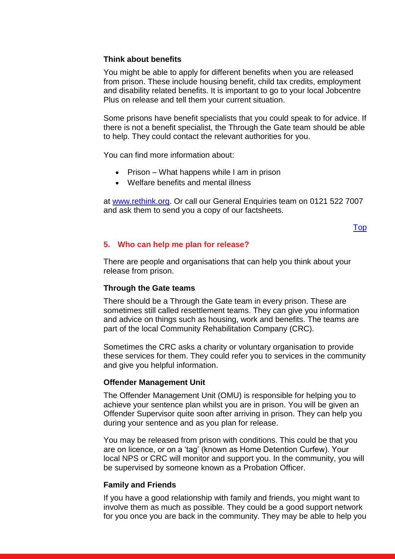## **Think about benefits**

You might be able to apply for different benefits when you are released from prison. These include housing benefit, child tax credits, employment and disability related benefits. It is important to go to your local Jobcentre Plus on release and tell them your current situation.

Some prisons have benefit specialists that you could speak to for advice. If there is not a benefit specialist, the Through the Gate team should be able to help. They could contact the relevant authorities for you.

You can find more information about:

- $\bullet$  Prison What happens while I am in prison
- Welfare benefits and mental illness

at [www.rethink.org.](http://www.rethink.org/) Or call our General Enquiries team on 0121 522 7007 and ask them to send you a copy of our factsheets.

## [Top](#page-0-0)

# <span id="page-6-0"></span>**5. Who can help me plan for release?**

There are people and organisations that can help you think about your release from prison.

# **Through the Gate teams**

There should be a Through the Gate team in every prison. These are sometimes still called resettlement teams. They can give you information and advice on things such as housing, work and benefits. The teams are part of the local Community Rehabilitation Company (CRC).

Sometimes the CRC asks a charity or voluntary organisation to provide these services for them. They could refer you to services in the community and give you helpful information.

#### **Offender Management Unit**

The Offender Management Unit (OMU) is responsible for helping you to achieve your sentence plan whilst you are in prison. You will be given an Offender Supervisor quite soon after arriving in prison. They can help you during your sentence and as you plan for release.

You may be released from prison with conditions. This could be that you are on licence, or on a 'tag' (known as Home Detention Curfew). Your local NPS or CRC will monitor and support you. In the community, you will be supervised by someone known as a Probation Officer.

# **Family and Friends**

If you have a good relationship with family and friends, you might want to involve them as much as possible. They could be a good support network for you once you are back in the community. They may be able to help you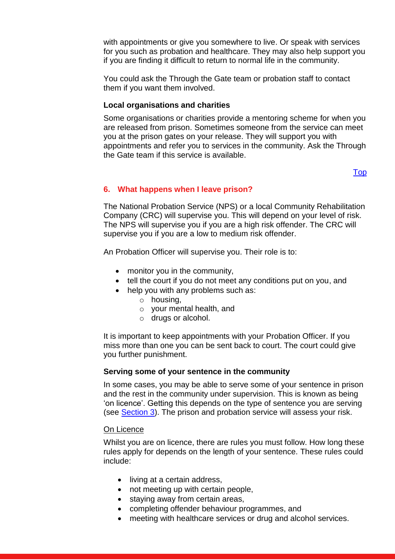with appointments or give you somewhere to live. Or speak with services for you such as probation and healthcare. They may also help support you if you are finding it difficult to return to normal life in the community.

You could ask the Through the Gate team or probation staff to contact them if you want them involved.

## **Local organisations and charities**

Some organisations or charities provide a mentoring scheme for when you are released from prison. Sometimes someone from the service can meet you at the prison gates on your release. They will support you with appointments and refer you to services in the community. Ask the Through the Gate team if this service is available.

[Top](#page-0-0)

## <span id="page-7-0"></span>**6. What happens when I leave prison?**

The National Probation Service (NPS) or a local Community Rehabilitation Company (CRC) will supervise you. This will depend on your level of risk. The NPS will supervise you if you are a high risk offender. The CRC will supervise you if you are a low to medium risk offender.

An Probation Officer will supervise you. Their role is to:

- monitor you in the community,
- tell the court if you do not meet any conditions put on you, and
- help you with any problems such as:
	- o housing,
	- o your mental health, and
	- o drugs or alcohol.

It is important to keep appointments with your Probation Officer. If you miss more than one you can be sent back to court. The court could give you further punishment.

#### **Serving some of your sentence in the community**

In some cases, you may be able to serve some of your sentence in prison and the rest in the community under supervision. This is known as being 'on licence'. Getting this depends on the type of sentence you are serving (see [Section 3\)](#page-3-0). The prison and probation service will assess your risk.

#### On Licence

Whilst you are on licence, there are rules you must follow. How long these rules apply for depends on the length of your sentence. These rules could include:

- living at a certain address,
- not meeting up with certain people,
- staying away from certain areas,
- completing offender behaviour programmes, and
- meeting with healthcare services or drug and alcohol services.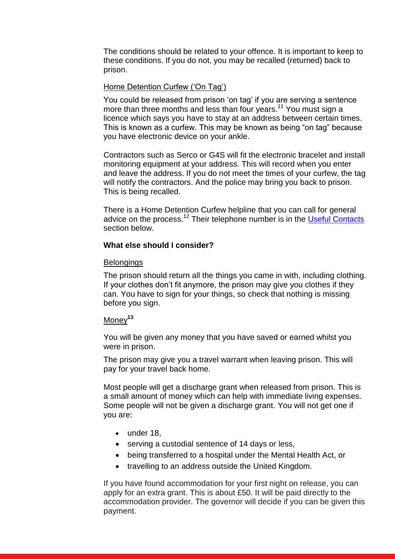The conditions should be related to your offence. It is important to keep to these conditions. If you do not, you may be recalled (returned) back to prison.

## Home Detention Curfew ('On Tag')

You could be released from prison 'on tag' if you are serving a sentence more than three months and less than four years.<sup>11</sup> You must sign a licence which says you have to stay at an address between certain times. This is known as a curfew. This may be known as being "on tag" because you have electronic device on your ankle.

Contractors such as Serco or G4S will fit the electronic bracelet and install monitoring equipment at your address. This will record when you enter and leave the address. If you do not meet the times of your curfew, the tag will notify the contractors. And the police may bring you back to prison. This is being recalled.

There is a Home Detention Curfew helpline that you can call for general advice on the process.<sup>12</sup> Their telephone number is in the <u>Useful Contacts</u> section below.

#### **What else should I consider?**

#### **Belongings**

The prison should return all the things you came in with, including clothing. If your clothes don't fit anymore, the prison may give you clothes if they can. You have to sign for your things, so check that nothing is missing before you sign.

# Money**<sup>13</sup>**

You will be given any money that you have saved or earned whilst you were in prison.

The prison may give you a travel warrant when leaving prison. This will pay for your travel back home.

Most people will get a discharge grant when released from prison. This is a small amount of money which can help with immediate living expenses. Some people will not be given a discharge grant. You will not get one if you are:

- under 18,
- serving a custodial sentence of 14 days or less,
- being transferred to a hospital under the Mental Health Act, or
- travelling to an address outside the United Kingdom.

If you have found accommodation for your first night on release, you can apply for an extra grant. This is about £50. It will be paid directly to the accommodation provider. The governor will decide if you can be given this payment.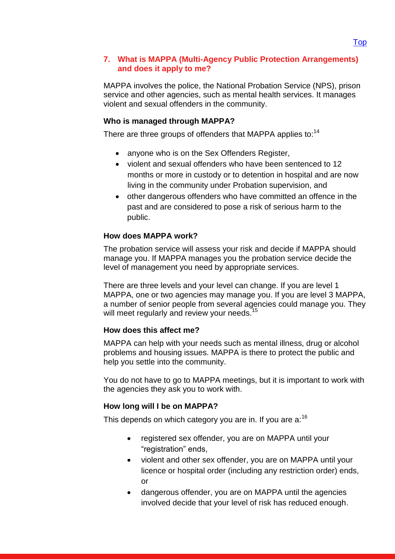# <span id="page-9-0"></span>**7. What is MAPPA (Multi-Agency Public Protection Arrangements) and does it apply to me?**

MAPPA involves the police, the National Probation Service (NPS), prison service and other agencies, such as mental health services. It manages violent and sexual offenders in the community.

# **Who is managed through MAPPA?**

There are three groups of offenders that MAPPA applies to:<sup>14</sup>

- anyone who is on the Sex Offenders Register,
- violent and sexual offenders who have been sentenced to 12 months or more in custody or to detention in hospital and are now living in the community under Probation supervision, and
- other dangerous offenders who have committed an offence in the past and are considered to pose a risk of serious harm to the public.

# **How does MAPPA work?**

The probation service will assess your risk and decide if MAPPA should manage you. If MAPPA manages you the probation service decide the level of management you need by appropriate services.

There are three levels and your level can change. If you are level 1 MAPPA, one or two agencies may manage you. If you are level 3 MAPPA, a number of senior people from several agencies could manage you. They will meet regularly and review your needs.<sup>15</sup>

#### **How does this affect me?**

MAPPA can help with your needs such as mental illness, drug or alcohol problems and housing issues. MAPPA is there to protect the public and help you settle into the community.

You do not have to go to MAPPA meetings, but it is important to work with the agencies they ask you to work with.

#### **How long will I be on MAPPA?**

This depends on which category you are in. If you are  $a:16$ 

- registered sex offender, you are on MAPPA until your "registration" ends,
- violent and other sex offender, you are on MAPPA until your licence or hospital order (including any restriction order) ends, or
- dangerous offender, you are on MAPPA until the agencies involved decide that your level of risk has reduced enough.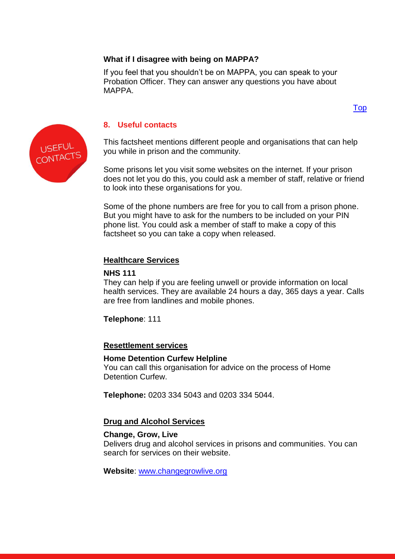# **What if I disagree with being on MAPPA?**

If you feel that you shouldn't be on MAPPA, you can speak to your Probation Officer. They can answer any questions you have about MAPPA.

# [Top](#page-0-0)



# <span id="page-10-0"></span>**8. Useful contacts**

This factsheet mentions different people and organisations that can help you while in prison and the community.

Some prisons let you visit some websites on the internet. If your prison does not let you do this, you could ask a member of staff, relative or friend to look into these organisations for you.

Some of the phone numbers are free for you to call from a prison phone. But you might have to ask for the numbers to be included on your PIN phone list. You could ask a member of staff to make a copy of this factsheet so you can take a copy when released.

# **Healthcare Services**

# **NHS 111**

They can help if you are feeling unwell or provide information on local health services. They are available 24 hours a day, 365 days a year. Calls are free from landlines and mobile phones.

**Telephone**: 111

#### **Resettlement services**

#### **Home Detention Curfew Helpline**

You can call this organisation for advice on the process of Home Detention Curfew.

**Telephone:** 0203 334 5043 and 0203 334 5044.

#### **Drug and Alcohol Services**

#### **Change, Grow, Live**

Delivers drug and alcohol services in prisons and communities. You can search for services on their website.

**Website**: [www.changegrowlive.org](http://www.changegrowlive.org/)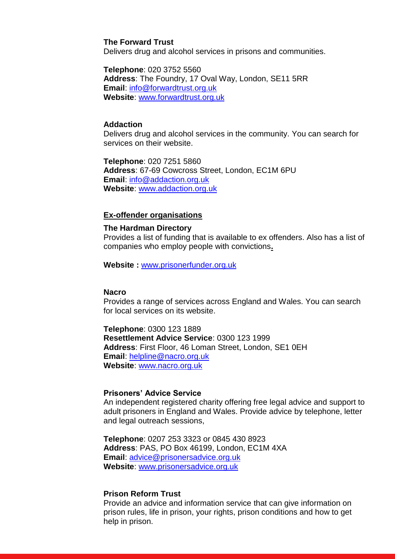#### **The Forward Trust**

Delivers drug and alcohol services in prisons and communities.

**Telephone**: 020 3752 5560 **Address**: The Foundry, 17 Oval Way, London, SE11 5RR **Email**: [info@forwardtrust.org.uk](mailto:info@forwardtrust.org.uk)

**Website**: [www.forwardtrust.org.uk](http://www.rapt.org.uk/)

#### **Addaction**

Delivers drug and alcohol services in the community. You can search for services on their website.

**Telephone**: 020 7251 5860 **Address**: 67-69 Cowcross Street, London, EC1M 6PU **Email**: [info@addaction.org.uk](mailto:info@addaction.org.uk) **Website**: [www.addaction.org.uk](http://www.addaction.org.uk/)

#### **Ex-offender organisations**

#### **The Hardman Directory**

Provides a list of funding that is available to ex offenders. Also has a list of companies who employ people with convictions**.**

**Website :** [www.prisonerfunder.org.uk](http://www.prisonerfunder.org.uk/)

#### **Nacro**

Provides a range of services across England and Wales. You can search for local services on its website.

**Telephone**: 0300 123 1889 **Resettlement Advice Service**: 0300 123 1999 **Address**: First Floor, 46 Loman Street, London, SE1 0EH **Email**: [helpline@nacro.org.uk](mailto:helpline@nacro.org.uk) **Website**: [www.nacro.org.uk](http://www.nacro.org.uk/)

# **Prisoners' Advice Service**

An independent registered charity offering free legal advice and support to adult prisoners in England and Wales. Provide advice by telephone, letter and legal outreach sessions,

**Telephone**: 0207 253 3323 or 0845 430 8923 **Address**: PAS, PO Box 46199, London, EC1M 4XA **Email**: [advice@prisonersadvice.org.uk](mailto:advice@prisonersadvice.org.uk) **Website**: [www.prisonersadvice.org.uk](http://www.prisonersadvice.org.uk/)

#### **Prison Reform Trust**

Provide an advice and information service that can give information on prison rules, life in prison, your rights, prison conditions and how to get help in prison.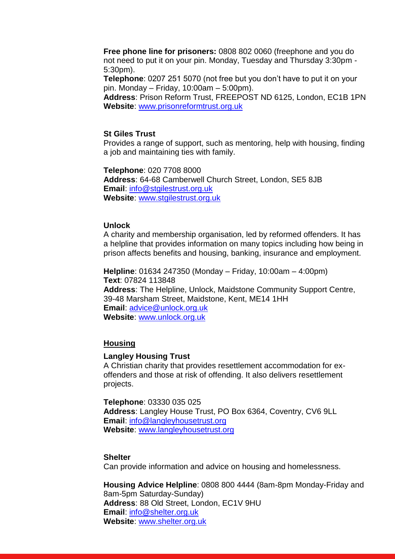**Free phone line for prisoners:** 0808 802 0060 (freephone and you do not need to put it on your pin. Monday, Tuesday and Thursday 3:30pm - 5:30pm).

**Telephone**: 0207 251 5070 (not free but you don't have to put it on your pin. Monday – Friday, 10:00am – 5:00pm).

**Address**: Prison Reform Trust, FREEPOST ND 6125, London, EC1B 1PN **Website**: [www.prisonreformtrust.org.uk](http://www.prisonreformtrust.org.uk/)

#### **St Giles Trust**

Provides a range of support, such as mentoring, help with housing, finding a job and maintaining ties with family.

**Telephone**: 020 7708 8000 **Address**: 64-68 Camberwell Church Street, London, SE5 8JB **Email**: [info@stgilestrust.org.uk](mailto:info@stgilestrust.org.uk) **Website**: [www.stgilestrust.org.uk](http://www.stgilestrust.org.uk/)

#### **Unlock**

A charity and membership organisation, led by reformed offenders. It has a helpline that provides information on many topics including how being in prison affects benefits and housing, banking, insurance and employment.

**Helpline**: 01634 247350 (Monday – Friday, 10:00am – 4:00pm) **Text**: 07824 113848 **Address**: The Helpline, Unlock, Maidstone Community Support Centre, 39-48 Marsham Street, Maidstone, Kent, ME14 1HH **Email**: [advice@unlock.org.uk](mailto:advice@unlock.org.uk) **Website**: [www.unlock.org.uk](http://www.unlock.org.uk/)

#### **Housing**

#### **Langley Housing Trust**

A Christian charity that provides resettlement accommodation for exoffenders and those at risk of offending. It also delivers resettlement projects.

**Telephone**: 03330 035 025 **Address**: Langley House Trust, PO Box 6364, Coventry, CV6 9LL **Email**: [info@langleyhousetrust.org](mailto:info@langleyhousetrust.org) **Website**: [www.langleyhousetrust.org](http://www.langleyhousetrust.org/)

#### **Shelter**

Can provide information and advice on housing and homelessness.

**Housing Advice Helpline**: 0808 800 4444 (8am-8pm Monday-Friday and 8am-5pm Saturday-Sunday) **Address**: 88 Old Street, London, EC1V 9HU **Email**: [info@shelter.org.uk](mailto:info@shelter.org.uk) **Website**: [www.shelter.org.uk](http://www.shelter.org.uk/)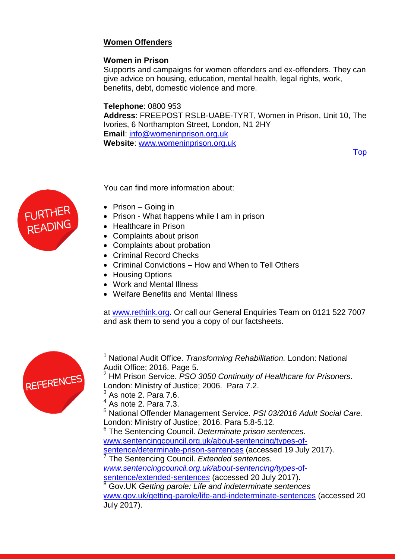# **Women Offenders**

# **Women in Prison**

Supports and campaigns for women offenders and ex-offenders. They can give advice on housing, education, mental health, legal rights, work, benefits, debt, domestic violence and more.

# **Telephone**: 0800 953

**Address**: FREEPOST RSLB-UABE-TYRT, Women in Prison, Unit 10, The Ivories, 6 Northampton Street, London, N1 2HY **Email**: [info@womeninprison.org.uk](mailto:info@womeninprison.org.uk) **Website**: [www.womeninprison.org.uk](http://www.womeninprison.org.uk/)

[Top](#page-0-0)



You can find more information about:

- Prison Going in
- Prison What happens while I am in prison
- Healthcare in Prison
- Complaints about prison
- Complaints about probation
- Criminal Record Checks
- Criminal Convictions How and When to Tell Others
- Housing Options
- Work and Mental Illness
- Welfare Benefits and Mental Illness

at [www.rethink.org.](http://www.rethink.org/) Or call our General Enquiries Team on 0121 522 7007 and ask them to send you a copy of our factsheets.



j <sup>1</sup> National Audit Office. *Transforming Rehabilitation.* London: National Audit Office; 2016. Page 5.

6 The Sentencing Council. *Determinate prison sentences.*  [www.sentencingcouncil.org.uk/about-sentencing/types-of](http://www.sentencingcouncil.org.uk/about-sentencing/types-of-sentence/determinate-prison-sentences)[sentence/determinate-prison-sentences](http://www.sentencingcouncil.org.uk/about-sentencing/types-of-sentence/determinate-prison-sentences) (accessed 19 July 2017).

7 The Sentencing Council. *Extended sentences. [www.sentencingcouncil.org.uk/about-sentencing/types](http://www.sentencingcouncil.org.uk/about-sentencing/types-of-sentence/extended-sentences)*-of[sentence/extended-sentence](http://www.sentencingcouncil.org.uk/about-sentencing/types-of-sentence/extended-sentences)*s* (accessed 20 July 2017).

<sup>8</sup> Gov.UK *Getting parole: Life and indeterminate sentences*  [www.gov.uk/getting-parole/life-and-indeterminate-sentences](http://www.gov.uk/getting-parole/life-and-indeterminate-sentences) (accessed 20 July 2017).

<sup>2</sup> HM Prison Service. *PSO 3050 Continuity of Healthcare for Prisoners*. London: Ministry of Justice; 2006. Para 7.2.

As note 2. Para 7.6.

 $4$  As note 2. Para 7.3.

<sup>5</sup> National Offender Management Service. *PSI 03/2016 Adult Social Care*. London: Ministry of Justice; 2016. Para 5.8-5.12.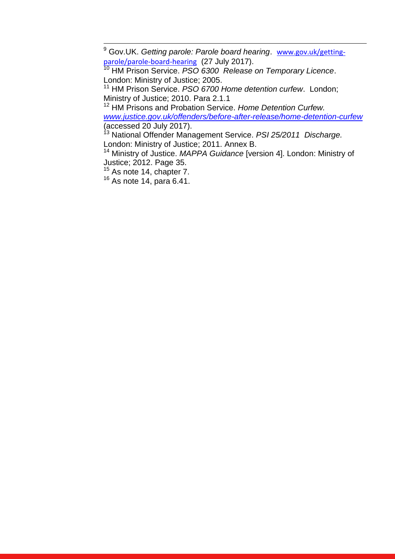<sup>9</sup> Gov.UK. *Getting parole: Parole board hearing*. [www.gov.uk/getting](http://www.gov.uk/getting-parole/parole-board-hearing)[parole/parole-board-hearing](http://www.gov.uk/getting-parole/parole-board-hearing) (27 July 2017).

<sup>10</sup> HM Prison Service. *PSO 6300 Release on Temporary Licence*. London: Ministry of Justice; 2005.

<sup>11</sup> HM Prison Service. *PSO 6700 Home detention curfew*. London; Ministry of Justice; 2010. Para 2.1.1

<sup>12</sup> HM Prisons and Probation Service. *Home Detention Curfew. [www.justice.gov.uk/offenders/before-after-release/home-detention-curfew](http://www.justice.gov.uk/offenders/before-after-release/home-detention-curfew)*  (accessed 20 July 2017).

<sup>13</sup> National Offender Management Service. *PSI 25/2011 Discharge.*  London: Ministry of Justice; 2011. Annex B.

<sup>14</sup> Ministry of Justice. *MAPPA Guidance* [version 4]. London: Ministry of Justice; 2012. Page 35.

<sup>15</sup> As note 14, chapter 7.

 $\overline{a}$ 

<sup>16</sup> As note 14, para 6.41.